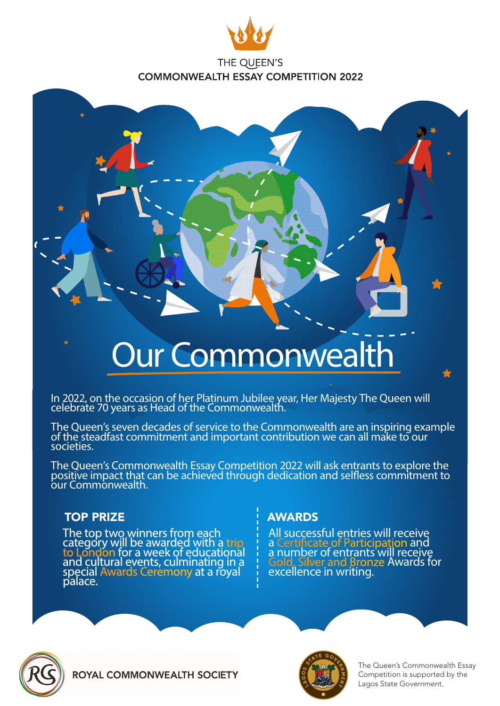



# Our Commonwealth

In 2022, on the occasion of her Platinum Jubilee year, Her Majesty The Queen will celebrate 70 years as Head of the Commonwealth.

The Queen's seven decades of service to the Commonwealth are an inspiring example of the steadfast commitment and important contribution we can all make to our societies.

The Queen's Commonwealth Essay Competition 2022 will ask entrants to explore the positive impact that can be achieved through dedication and selfless commitment to our Commonwealth.

## TOP PRIZE

The top two winners from each category will be awarded with a trip<br>to London for a week of educational and cultural events, culminating in a special Awards Ceremony at a royal palace.

# AWARDS

All successful entries will receive a Certificate of Participation and a number of entrants will receive Gold, Silver and Bronze Awards for excellence in writing.



**ROYAL COMMONWEALTH SOCIETY** 



The Queen's Commonwealth Essay Competition is supported by the Lagos State Government.